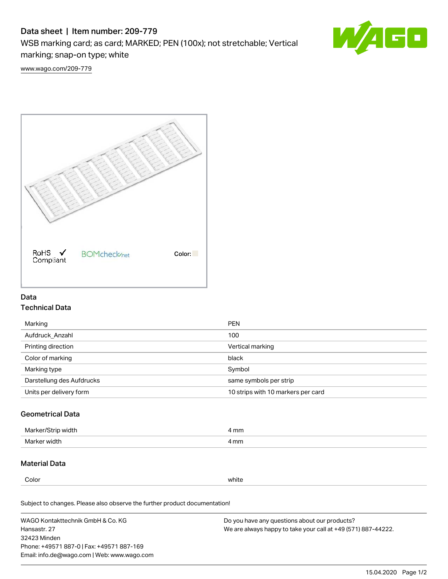# Data sheet | Item number: 209-779

WSB marking card; as card; MARKED; PEN (100x); not stretchable; Vertical marking; snap-on type; white



[www.wago.com/209-779](http://www.wago.com/209-779)



# Data Technical Data

| Marking                   | <b>PEN</b>                         |
|---------------------------|------------------------------------|
| Aufdruck Anzahl           | 100                                |
| Printing direction        | Vertical marking                   |
| Color of marking          | black                              |
| Marking type              | Symbol                             |
| Darstellung des Aufdrucks | same symbols per strip             |
| Units per delivery form   | 10 strips with 10 markers per card |

## Geometrical Data

| Ma<br>width                            | mm<br>. |
|----------------------------------------|---------|
| Marke<br>widtl<br>$\sim$ $\sim$ $\sim$ | 4 mm    |

## Material Data

Color white

Subject to changes. Please also observe the further product documentation!

WAGO Kontakttechnik GmbH & Co. KG Hansastr. 27 32423 Minden Phone: +49571 887-0 | Fax: +49571 887-169 Email: info.de@wago.com | Web: www.wago.com Do you have any questions about our products? We are always happy to take your call at +49 (571) 887-44222.